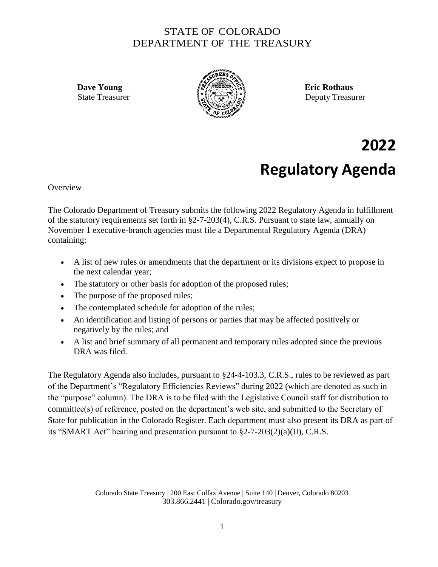## STATE OF COLORADO DEPARTMENT OF THE TREASURY



State Treasurer  $\{x_n\}$   $\{x_n\}$   $\}$ 

## **2022 Regulatory Agenda**

**Overview** 

The Colorado Department of Treasury submits the following 2022 Regulatory Agenda in fulfillment of the statutory requirements set forth in §2-7-203(4), C.R.S. Pursuant to state law, annually on November 1 executive-branch agencies must file a Departmental Regulatory Agenda (DRA) containing:

- A list of new rules or amendments that the department or its divisions expect to propose in the next calendar year;
- The statutory or other basis for adoption of the proposed rules;
- The purpose of the proposed rules;
- The contemplated schedule for adoption of the rules;
- An identification and listing of persons or parties that may be affected positively or negatively by the rules; and
- A list and brief summary of all permanent and temporary rules adopted since the previous DRA was filed.

The Regulatory Agenda also includes, pursuant to §24-4-103.3, C.R.S., rules to be reviewed as part of the Department's "Regulatory Efficiencies Reviews" during 2022 (which are denoted as such in the "purpose" column). The DRA is to be filed with the Legislative Council staff for distribution to committee(s) of reference, posted on the department's web site, and submitted to the Secretary of State for publication in the Colorado Register. Each department must also present its DRA as part of its "SMART Act" hearing and presentation pursuant to  $\S2-7-203(2)(a)(II)$ , C.R.S.

> Colorado State Treasury | 200 East Colfax Avenue | Suite 140 | Denver, Colorado 80203 303.866.2441 | Colorado.gov/treasury